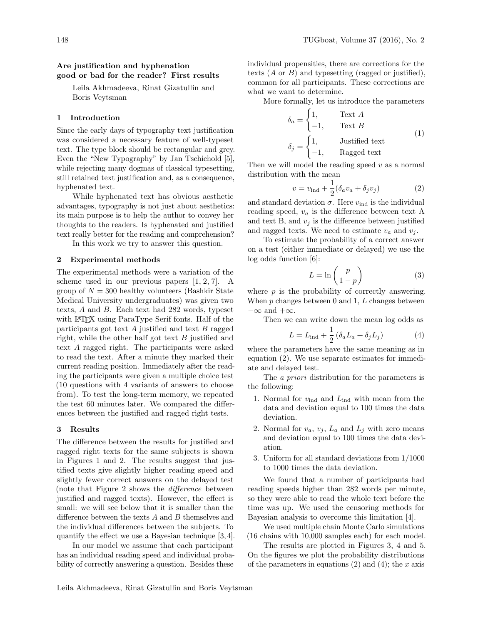# Are justification and hyphenation good or bad for the reader? First results

Leila Akhmadeeva, Rinat Gizatullin and Boris Veytsman

### 1 Introduction

Since the early days of typography text justification was considered a necessary feature of well-typeset text. The type block should be rectangular and grey. Even the "New Typography" by Jan Tschichold [\[5\]](#page-3-0), while rejecting many dogmas of classical typesetting, still retained text justification and, as a consequence, hyphenated text.

While hyphenated text has obvious aesthetic advantages, typography is not just about aesthetics: its main purpose is to help the author to convey her thoughts to the readers. Is hyphenated and justified text really better for the reading and comprehension?

In this work we try to answer this question.

## 2 Experimental methods

The experimental methods were a variation of the scheme used in our previous papers [\[1,](#page-3-1) [2,](#page-3-2) [7\]](#page-3-3). A group of  $N = 300$  healthy volunteers (Bashkir State Medical University undergraduates) was given two texts, A and B. Each text had 282 words, typeset with LAT<sub>EX</sub> using ParaType Serif fonts. Half of the participants got text  $A$  justified and text  $B$  ragged right, while the other half got text B justified and text A ragged right. The participants were asked to read the text. After a minute they marked their current reading position. Immediately after the reading the participants were given a multiple choice test (10 questions with 4 variants of answers to choose from). To test the long-term memory, we repeated the test 60 minutes later. We compared the differences between the justified and ragged right tests.

#### 3 Results

The difference between the results for justified and ragged right texts for the same subjects is shown in Figures [1](#page-1-0) and [2.](#page-1-1) The results suggest that justified texts give slightly higher reading speed and slightly fewer correct answers on the delayed test (note that Figure [2](#page-1-1) shows the difference between justified and ragged texts). However, the effect is small: we will see below that it is smaller than the difference between the texts A and B themselves and the individual differences between the subjects. To quantify the effect we use a Bayesian technique [\[3,](#page-3-4) [4\]](#page-3-5).

In our model we assume that each participant has an individual reading speed and individual probability of correctly answering a question. Besides these

individual propensities, there are corrections for the texts  $(A \text{ or } B)$  and typesetting (ragged or justified), common for all participants. These corrections are what we want to determine.

More formally, let us introduce the parameters

$$
\delta_a = \begin{cases} 1, & \text{Text } A \\ -1, & \text{Text } B \end{cases}
$$
\n
$$
\delta_j = \begin{cases} 1, & \text{Justified text} \\ -1, & \text{Raged text} \end{cases}
$$
\n(1)

Then we will model the reading speed  $v$  as a normal distribution with the mean

<span id="page-0-0"></span>
$$
v = v_{\text{ind}} + \frac{1}{2} (\delta_a v_a + \delta_j v_j)
$$
 (2)

and standard deviation  $\sigma$ . Here  $v_{\text{ind}}$  is the individual reading speed,  $v_a$  is the difference between text A and text B, and  $v_i$  is the difference between justified and ragged texts. We need to estimate  $v_a$  and  $v_i$ .

To estimate the probability of a correct answer on a test (either immediate or delayed) we use the log odds function [\[6\]](#page-3-6):

$$
L = \ln\left(\frac{p}{1-p}\right) \tag{3}
$$

where  $p$  is the probability of correctly answering. When  $p$  changes between 0 and 1,  $L$  changes between  $-\infty$  and  $+\infty$ .

Then we can write down the mean log odds as

<span id="page-0-1"></span>
$$
L = L_{\text{ind}} + \frac{1}{2} \left( \delta_a L_a + \delta_j L_j \right) \tag{4}
$$

where the parameters have the same meaning as in equation [\(2\)](#page-0-0). We use separate estimates for immediate and delayed test.

The a priori distribution for the parameters is the following:

- 1. Normal for  $v_{\text{ind}}$  and  $L_{\text{ind}}$  with mean from the data and deviation equal to 100 times the data deviation.
- 2. Normal for  $v_a, v_j, L_a$  and  $L_j$  with zero means and deviation equal to 100 times the data deviation.
- 3. Uniform for all standard deviations from 1/1000 to 1000 times the data deviation.

We found that a number of participants had reading speeds higher than 282 words per minute, so they were able to read the whole text before the time was up. We used the censoring methods for Bayesian analysis to overcome this limitation [\[4\]](#page-3-5).

We used multiple chain Monte Carlo simulations (16 chains with 10,000 samples each) for each model.

The results are plotted in Figures [3,](#page-2-0) [4](#page-2-1) and [5.](#page-2-2) On the figures we plot the probability distributions of the parameters in equations  $(2)$  and  $(4)$ ; the x axis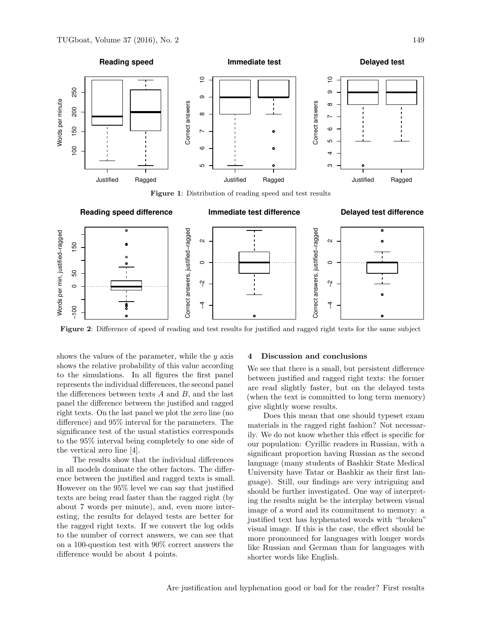

<span id="page-1-0"></span>Figure 1: Distribution of reading speed and test results



<span id="page-1-1"></span>Figure 2: Difference of speed of reading and test results for justified and ragged right texts for the same subject

shows the values of the parameter, while the  $y$  axis shows the relative probability of this value according to the simulations. In all figures the first panel represents the individual differences, the second panel the differences between texts  $A$  and  $B$ , and the last panel the difference between the justified and ragged right texts. On the last panel we plot the zero line (no difference) and 95% interval for the parameters. The significance test of the usual statistics corresponds to the 95% interval being completely to one side of the vertical zero line [\[4\]](#page-3-5).

The results show that the individual differences in all models dominate the other factors. The difference between the justified and ragged texts is small. However on the 95% level we can say that justified texts are being read faster than the ragged right (by about 7 words per minute), and, even more interesting, the results for delayed tests are better for the ragged right texts. If we convert the log odds to the number of correct answers, we can see that on a 100-question test with 90% correct answers the difference would be about 4 points.

### 4 Discussion and conclusions

We see that there is a small, but persistent difference between justified and ragged right texts: the former are read slightly faster, but on the delayed tests (when the text is committed to long term memory) give slightly worse results.

Does this mean that one should typeset exam materials in the ragged right fashion? Not necessarily. We do not know whether this effect is specific for our population: Cyrillic readers in Russian, with a significant proportion having Russian as the second language (many students of Bashkir State Medical University have Tatar or Bashkir as their first language). Still, our findings are very intriguing and should be further investigated. One way of interpreting the results might be the interplay between visual image of a word and its commitment to memory: a justified text has hyphenated words with "broken" visual image. If this is the case, the effect should be more pronounced for languages with longer words like Russian and German than for languages with shorter words like English.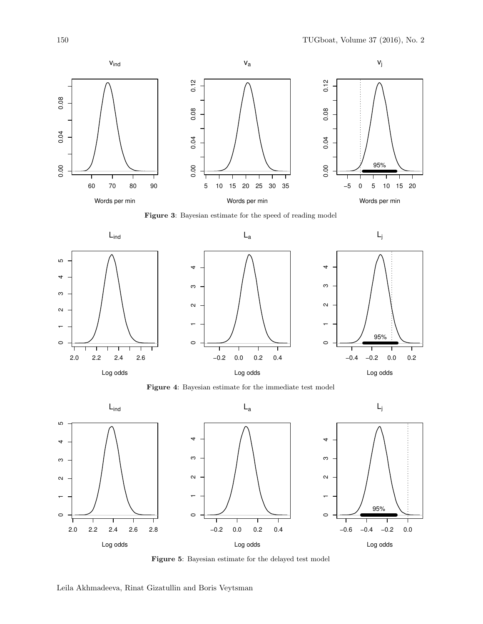

<span id="page-2-0"></span>Figure 3: Bayesian estimate for the speed of reading model



<span id="page-2-1"></span>Figure 4: Bayesian estimate for the immediate test model



<span id="page-2-2"></span>Figure 5: Bayesian estimate for the delayed test model